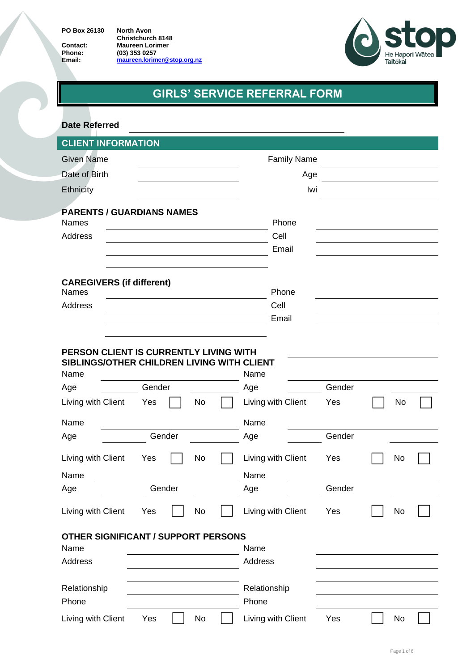**PO Box 26130 North Avon**

**Christchurch 8148 Contact: Maureen Lorimer Phone: (03) 353 0257 Contact: Maureen Lorimer**<br> **Phone:** (03) 353 0257<br> **Email: [maureen.lorimer@stop.org.nz](mailto:maureen.lorimer@stop.org.nz)** 



# **GIRLS' SERVICE REFERRAL FORM**

| <b>Date Referred</b>                                                                                                                     |              |                                           |               |    |  |
|------------------------------------------------------------------------------------------------------------------------------------------|--------------|-------------------------------------------|---------------|----|--|
| <b>CLIENT INFORMATION</b>                                                                                                                |              |                                           |               |    |  |
| <b>Given Name</b>                                                                                                                        |              | <b>Family Name</b>                        |               |    |  |
| Date of Birth                                                                                                                            |              | Age                                       |               |    |  |
| Ethnicity                                                                                                                                |              | Iwi                                       |               |    |  |
| <b>PARENTS / GUARDIANS NAMES</b><br><b>Names</b><br>Address                                                                              |              | Phone<br>Cell<br>Email                    |               |    |  |
| <b>CAREGIVERS (if different)</b><br><b>Names</b>                                                                                         |              | Phone                                     |               |    |  |
| Address                                                                                                                                  |              | Cell                                      |               |    |  |
|                                                                                                                                          |              | Email                                     |               |    |  |
| PERSON CLIENT IS CURRENTLY LIVING WITH<br>SIBLINGS/OTHER CHILDREN LIVING WITH CLIENT<br>Name<br>Age<br>Living with Client<br>Yes<br>Name | Gender<br>No | Name<br>Age<br>Living with Client<br>Name | Gender<br>Yes | No |  |
| Age                                                                                                                                      | Gender       | Age                                       | Gender        |    |  |
| Living with Client<br>Yes<br>Name                                                                                                        | No           | Living with Client<br>Name                | Yes           | No |  |
| Age                                                                                                                                      | Gender       | Age                                       | Gender        |    |  |
| Living with Client<br>Yes                                                                                                                | No           | Living with Client                        | Yes           | No |  |
| <b>OTHER SIGNIFICANT / SUPPORT PERSONS</b><br>Name<br>Address                                                                            |              | Name<br>Address                           |               |    |  |
| Relationship<br>Phone                                                                                                                    |              | Relationship<br>Phone                     |               |    |  |
| Living with Client<br>Yes                                                                                                                | No           | Living with Client                        | Yes           | No |  |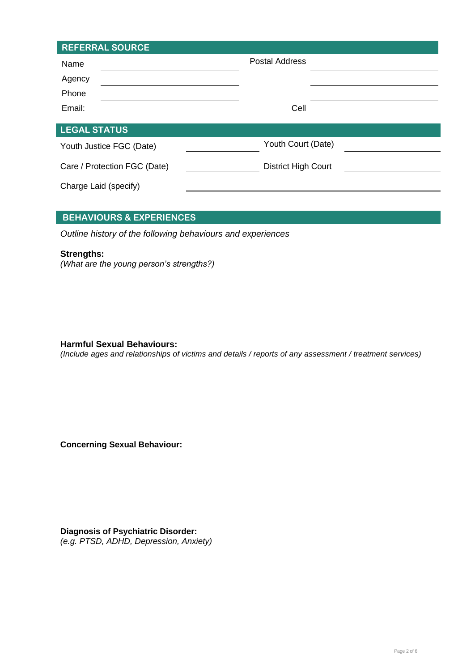| <b>REFERRAL SOURCE</b>       |                            |  |
|------------------------------|----------------------------|--|
| Name                         | <b>Postal Address</b>      |  |
| Agency                       |                            |  |
| Phone                        |                            |  |
| Email:                       | Cell                       |  |
| <b>LEGAL STATUS</b>          |                            |  |
| Youth Justice FGC (Date)     | Youth Court (Date)         |  |
| Care / Protection FGC (Date) | <b>District High Court</b> |  |
| Charge Laid (specify)        |                            |  |

## **BEHAVIOURS & EXPERIENCES**

*Outline history of the following behaviours and experiences* 

#### **Strengths:**

*(What are the young person's strengths?)*

**Harmful Sexual Behaviours:**

*(Include ages and relationships of victims and details / reports of any assessment / treatment services)*

**Concerning Sexual Behaviour:**

**Diagnosis of Psychiatric Disorder:** 

*(e.g. PTSD, ADHD, Depression, Anxiety)*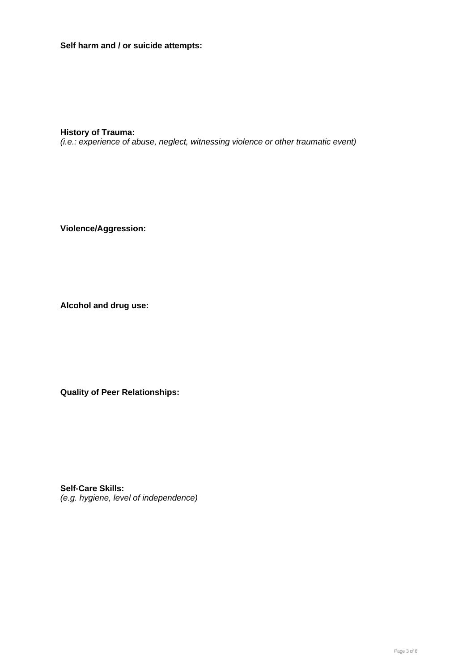**Self harm and / or suicide attempts:**

**History of Trauma:**  *(i.e.: experience of abuse, neglect, witnessing violence or other traumatic event)*

**Violence/Aggression:**

**Alcohol and drug use:**

**Quality of Peer Relationships:**

**Self-Care Skills:**  *(e.g. hygiene, level of independence)*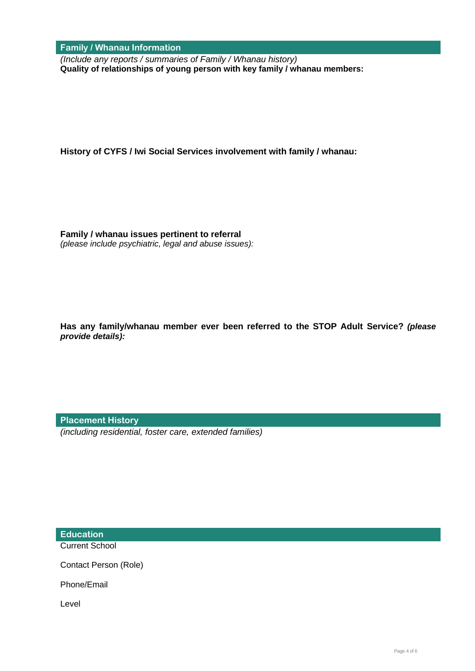**Family / Whanau Information**

*(Include any reports / summaries of Family / Whanau history)* **Quality of relationships of young person with key family / whanau members:**

**History of CYFS / Iwi Social Services involvement with family / whanau:**

**Family / whanau issues pertinent to referral**  *(please include psychiatric, legal and abuse issues):*

**Has any family/whanau member ever been referred to the STOP Adult Service?** *(please provide details):*

**Placement History**

*(including residential, foster care, extended families)*

**Education**

Current School

Contact Person (Role)

Phone/Email

Level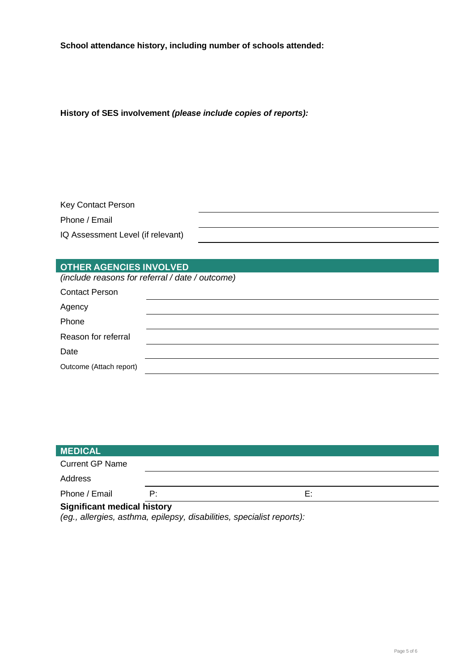**School attendance history, including number of schools attended:**

**History of SES involvement** *(please include copies of reports):*

| Key Contact Person                |  |
|-----------------------------------|--|
| Phone / Email                     |  |
| IQ Assessment Level (if relevant) |  |

## **OTHER AGENCIES INVOLVED**

*(include reasons for referral / date / outcome)*

| <b>Contact Person</b>   |  |
|-------------------------|--|
| Agency                  |  |
| Phone                   |  |
| Reason for referral     |  |
| Date                    |  |
| Outcome (Attach report) |  |

| <b>MEDICAL</b>                     |    |    |  |
|------------------------------------|----|----|--|
| <b>Current GP Name</b>             |    |    |  |
| Address                            |    |    |  |
| Phone / Email                      | P: | E: |  |
| <b>Significant medical history</b> |    |    |  |

*(eg., allergies, asthma, epilepsy, disabilities, specialist reports):*